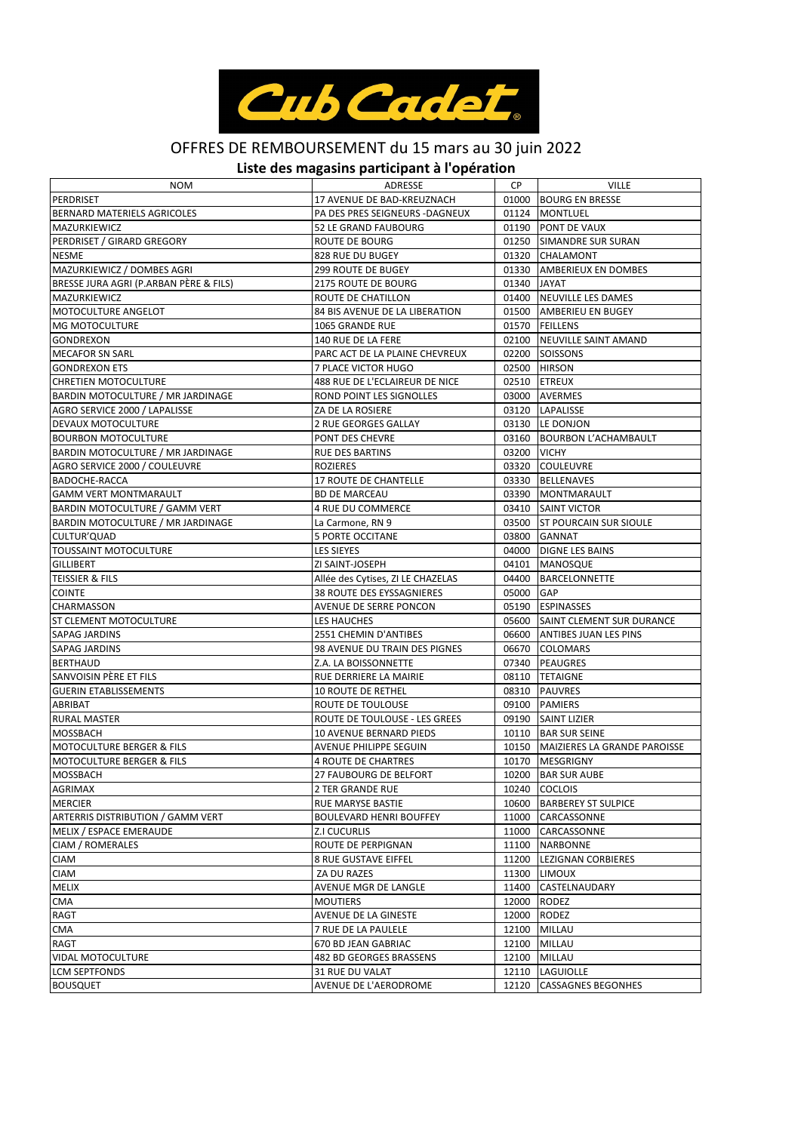

## OFFRES DE REMBOURSEMENT du 15 mars au 30 juin 2022

## **Liste des magasins participant à l'opération**

| NOM                                    | ADRESSE                           | CP.         | <b>VILLE</b>                       |
|----------------------------------------|-----------------------------------|-------------|------------------------------------|
| <b>PERDRISET</b>                       | 17 AVENUE DE BAD-KREUZNACH        |             | 01000 BOURG EN BRESSE              |
| <b>BERNARD MATERIELS AGRICOLES</b>     | PA DES PRES SEIGNEURS -DAGNEUX    |             | 01124   MONTLUEL                   |
| <b>MAZURKIEWICZ</b>                    | <b>52 LE GRAND FAUBOURG</b>       |             | 01190 PONT DE VAUX                 |
| PERDRISET / GIRARD GREGORY             | ROUTE DE BOURG                    |             | 01250 SIMANDRE SUR SURAN           |
| <b>NESME</b>                           | 828 RUE DU BUGEY                  |             | 01320 CHALAMONT                    |
| MAZURKIEWICZ / DOMBES AGRI             | <b>299 ROUTE DE BUGEY</b>         |             | 01330 AMBERIEUX EN DOMBES          |
| BRESSE JURA AGRI (P.ARBAN PÈRE & FILS) | 2175 ROUTE DE BOURG               | 01340 JAYAT |                                    |
| MAZURKIEWICZ                           | ROUTE DE CHATILLON                |             | 01400 NEUVILLE LES DAMES           |
| MOTOCULTURE ANGELOT                    | 84 BIS AVENUE DE LA LIBERATION    |             | 01500 AMBERIEU EN BUGEY            |
| <b>MG MOTOCULTURE</b>                  | 1065 GRANDE RUE                   |             | 01570 FEILLENS                     |
| GONDREXON                              | 140 RUE DE LA FERE                |             | 02100 NEUVILLE SAINT AMAND         |
| <b>MECAFOR SN SARL</b>                 | PARC ACT DE LA PLAINE CHEVREUX    |             | 02200 SOISSONS                     |
| <b>GONDREXON ETS</b>                   | 7 PLACE VICTOR HUGO               |             | 02500 HIRSON                       |
| <b>CHRETIEN MOTOCULTURE</b>            | 488 RUE DE L'ECLAIREUR DE NICE    |             | 02510 ETREUX                       |
| BARDIN MOTOCULTURE / MR JARDINAGE      | ROND POINT LES SIGNOLLES          |             | 03000 AVERMES                      |
| AGRO SERVICE 2000 / LAPALISSE          | ZA DE LA ROSIERE                  |             | 03120 LAPALISSE                    |
| DEVAUX MOTOCULTURE                     | 2 RUE GEORGES GALLAY              |             | 03130 LE DONJON                    |
| <b>BOURBON MOTOCULTURE</b>             | PONT DES CHEVRE                   |             | 03160 BOURBON L'ACHAMBAULT         |
| BARDIN MOTOCULTURE / MR JARDINAGE      | <b>RUE DES BARTINS</b>            | 03200 VICHY |                                    |
| AGRO SERVICE 2000 / COULEUVRE          | <b>ROZIERES</b>                   |             | 03320 COULEUVRE                    |
| BADOCHE-RACCA                          | 17 ROUTE DE CHANTELLE             |             | 03330 BELLENAVES                   |
| <b>GAMM VERT MONTMARAULT</b>           | <b>BD DE MARCEAU</b>              |             | 03390   MONTMARAULT                |
| BARDIN MOTOCULTURE / GAMM VERT         | 4 RUE DU COMMERCE                 |             | 03410 SAINT VICTOR                 |
| BARDIN MOTOCULTURE / MR JARDINAGE      | La Carmone, RN 9                  |             | 03500 IST POURCAIN SUR SIOULE      |
| CULTUR'QUAD                            | <b>5 PORTE OCCITANE</b>           |             | 03800 GANNAT                       |
| TOUSSAINT MOTOCULTURE                  | LES SIEYES                        |             | 04000 DIGNE LES BAINS              |
| <b>GILLIBERT</b>                       | ZI SAINT-JOSEPH                   |             | 04101   MANOSQUE                   |
| TEISSIER & FILS                        | Allée des Cytises, ZI LE CHAZELAS |             | 04400 BARCELONNETTE                |
| <b>COINTE</b>                          | 38 ROUTE DES EYSSAGNIERES         | 05000 GAP   |                                    |
| CHARMASSON                             | AVENUE DE SERRE PONCON            |             | 05190 ESPINASSES                   |
| ST CLEMENT MOTOCULTURE                 | LES HAUCHES                       |             | 05600 SAINT CLEMENT SUR DURANCE    |
| SAPAG JARDINS                          | 2551 CHEMIN D'ANTIBES             |             | 06600 ANTIBES JUAN LES PINS        |
| SAPAG JARDINS                          | 98 AVENUE DU TRAIN DES PIGNES     |             | 06670 COLOMARS                     |
| <b>BERTHAUD</b>                        | Z.A. LA BOISSONNETTE              |             | 07340 PEAUGRES                     |
| SANVOISIN PÉRE ET FILS                 | RUE DERRIERE LA MAIRIE            |             | 08110 TETAIGNE                     |
| <b>GUERIN ETABLISSEMENTS</b>           | <b>10 ROUTE DE RETHEL</b>         |             | 08310 PAUVRES                      |
| ABRIBAT                                | ROUTE DE TOULOUSE                 |             | 09100 PAMIERS                      |
| <b>RURAL MASTER</b>                    | ROUTE DE TOULOUSE - LES GREES     |             | 09190 SAINT LIZIER                 |
| MOSSBACH                               | 10 AVENUE BERNARD PIEDS           |             | 10110 BAR SUR SEINE                |
| <b>MOTOCULTURE BERGER &amp; FILS</b>   | AVENUE PHILIPPE SEGUIN            |             | 10150 MAIZIERES LA GRANDE PAROISSE |
| <b>MOTOCULTURE BERGER &amp; FILS</b>   | 4 ROUTE DE CHARTRES               |             | 10170 MESGRIGNY                    |
| <b>MOSSBACH</b>                        | 27 FAUBOURG DE BELFORT            |             | 10200 BAR SUR AUBE                 |
| AGRIMAX                                | 2 TER GRANDE RUE                  |             | 10240 COCLOIS                      |
| MERCIER                                | RUE MARYSE BASTIE                 |             | 10600 BARBEREY ST SULPICE          |
| ARTERRIS DISTRIBUTION / GAMM VERT      | <b>BOULEVARD HENRI BOUFFEY</b>    |             | 11000 CARCASSONNE                  |
| MELIX / ESPACE EMERAUDE                | Z.I CUCURLIS                      |             | 11000 CARCASSONNE                  |
| CIAM / ROMERALES                       | ROUTE DE PERPIGNAN                |             | 11100 NARBONNE                     |
| <b>CIAM</b>                            | <b>8 RUE GUSTAVE EIFFEL</b>       | 11200       | <b>LEZIGNAN CORBIERES</b>          |
| <b>CIAM</b>                            | ZA DU RAZES                       |             | 11300 LIMOUX                       |
| MELIX                                  | AVENUE MGR DE LANGLE              |             | 11400 CASTELNAUDARY                |
| CMA                                    | <b>MOUTIERS</b>                   |             | 12000 RODEZ                        |
| RAGT                                   | AVENUE DE LA GINESTE              |             | 12000 RODEZ                        |
| CMA                                    | 7 RUE DE LA PAULELE               | 12100       | MILLAU                             |
| RAGT                                   | 670 BD JEAN GABRIAC               |             | 12100 MILLAU                       |
| <b>VIDAL MOTOCULTURE</b>               | 482 BD GEORGES BRASSENS           |             | 12100 MILLAU                       |
| <b>LCM SEPTFONDS</b>                   |                                   |             |                                    |
|                                        | 31 RUE DU VALAT                   |             | 12110 LAGUIOLLE                    |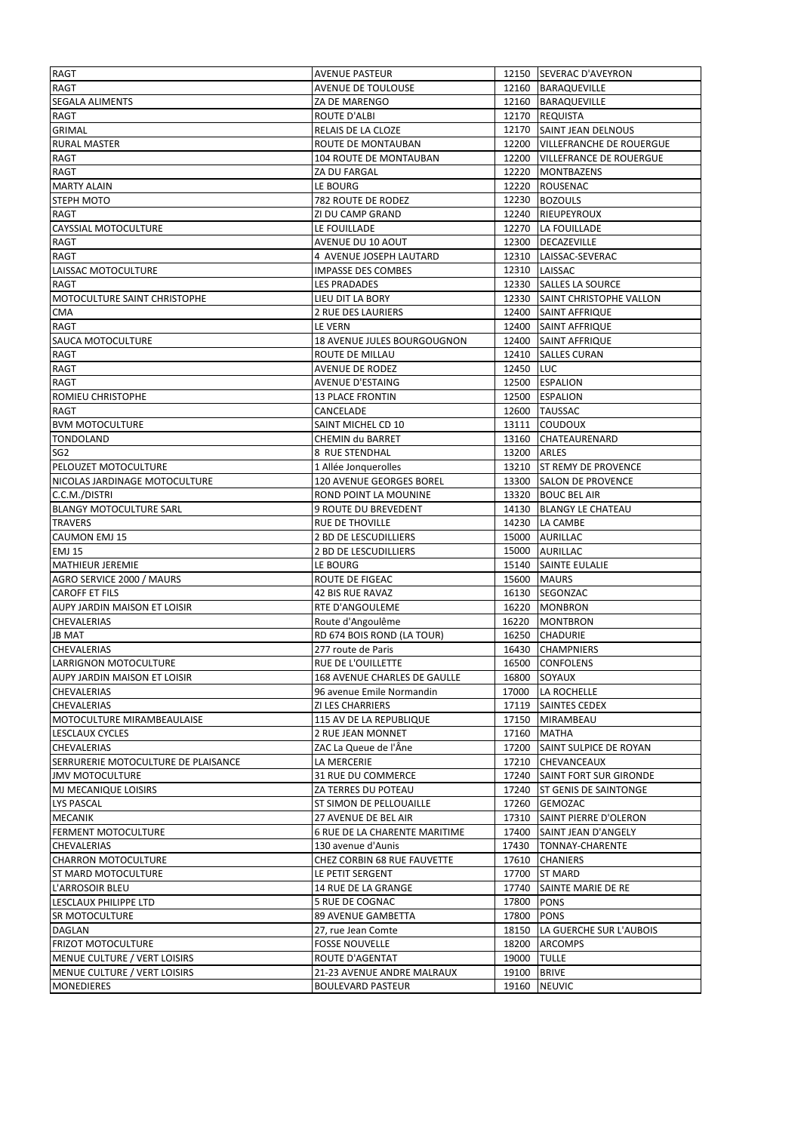| <b>RAGT</b>                         | <b>AVENUE PASTEUR</b>         |             | 12150 SEVERAC D'AVEYRON          |
|-------------------------------------|-------------------------------|-------------|----------------------------------|
| RAGT                                | <b>AVENUE DE TOULOUSE</b>     |             | 12160 BARAQUEVILLE               |
| <b>SEGALA ALIMENTS</b>              | ZA DE MARENGO                 |             | 12160 BARAQUEVILLE               |
| RAGT                                | ROUTE D'ALBI                  |             | 12170 REQUISTA                   |
| GRIMAL                              | RELAIS DE LA CLOZE            |             | 12170 SAINT JEAN DELNOUS         |
| <b>RURAL MASTER</b>                 | ROUTE DE MONTAUBAN            |             | 12200 VILLEFRANCHE DE ROUERGUE   |
| RAGT                                | 104 ROUTE DE MONTAUBAN        |             | 12200 VILLEFRANCE DE ROUERGUE    |
| RAGT                                | ZA DU FARGAL                  |             | 12220 MONTBAZENS                 |
| <b>MARTY ALAIN</b>                  | LE BOURG                      |             | 12220 ROUSENAC                   |
| STEPH MOTO                          | 782 ROUTE DE RODEZ            |             | 12230 BOZOULS                    |
| <b>RAGT</b>                         | ZI DU CAMP GRAND              |             | 12240 RIEUPEYROUX                |
| CAYSSIAL MOTOCULTURE                | LE FOUILLADE                  |             | 12270 LA FOUILLADE               |
| RAGT                                | AVENUE DU 10 AOUT             |             | 12300 DECAZEVILLE                |
| RAGT                                | 4 AVENUE JOSEPH LAUTARD       |             | 12310 LAISSAC-SEVERAC            |
|                                     |                               |             | 12310 LAISSAC                    |
| LAISSAC MOTOCULTURE                 | <b>IMPASSE DES COMBES</b>     |             |                                  |
| <b>RAGT</b>                         | LES PRADADES                  |             | 12330 SALLES LA SOURCE           |
| MOTOCULTURE SAINT CHRISTOPHE        | LIEU DIT LA BORY              |             | 12330 SAINT CHRISTOPHE VALLON    |
| <b>CMA</b>                          | <b>2 RUE DES LAURIERS</b>     |             | 12400 SAINT AFFRIQUE             |
| RAGT                                | LE VERN                       |             | 12400 SAINT AFFRIQUE             |
| SAUCA MOTOCULTURE                   | 18 AVENUE JULES BOURGOUGNON   |             | 12400 SAINT AFFRIQUE             |
| RAGT                                | ROUTE DE MILLAU               |             | 12410 SALLES CURAN               |
| RAGT                                | AVENUE DE RODEZ               | 12450 LUC   |                                  |
| <b>RAGT</b>                         | AVENUE D'ESTAING              |             | 12500 ESPALION                   |
| ROMIEU CHRISTOPHE                   | <b>13 PLACE FRONTIN</b>       |             | 12500 ESPALION                   |
| RAGT                                | CANCELADE                     |             | 12600 TAUSSAC                    |
| <b>BVM MOTOCULTURE</b>              | SAINT MICHEL CD 10            | 13111       | <b>COUDOUX</b>                   |
| TONDOLAND                           | CHEMIN du BARRET              |             | 13160 CHATEAURENARD              |
| SG2                                 | 8 RUE STENDHAL                | 13200 ARLES |                                  |
| PELOUZET MOTOCULTURE                | 1 Allée Jonquerolles          |             | 13210 ST REMY DE PROVENCE        |
| NICOLAS JARDINAGE MOTOCULTURE       | 120 AVENUE GEORGES BOREL      |             | 13300 SALON DE PROVENCE          |
| C.C.M./DISTRI                       | ROND POINT LA MOUNINE         |             | 13320 BOUC BEL AIR               |
| <b>BLANGY MOTOCULTURE SARL</b>      | 9 ROUTE DU BREVEDENT          |             | 14130 BLANGY LE CHATEAU          |
| <b>TRAVERS</b>                      | <b>RUE DE THOVILLE</b>        |             | 14230 LA CAMBE                   |
|                                     |                               |             |                                  |
| <b>CAUMON EMJ 15</b>                | 2 BD DE LESCUDILLIERS         |             | 15000 AURILLAC                   |
| <b>EMJ 15</b>                       | 2 BD DE LESCUDILLIERS         |             | 15000 AURILLAC                   |
| <b>MATHIEUR JEREMIE</b>             | LE BOURG                      |             | 15140 SAINTE EULALIE             |
| AGRO SERVICE 2000 / MAURS           | ROUTE DE FIGEAC               |             | 15600 MAURS                      |
| <b>CAROFF ET FILS</b>               | <b>42 BIS RUE RAVAZ</b>       |             | 16130 SEGONZAC                   |
| AUPY JARDIN MAISON ET LOISIR        |                               |             |                                  |
| <b>CHEVALERIAS</b>                  | RTE D'ANGOULEME               | 16220       | 16220 MONBRON<br><b>MONTBRON</b> |
| <b>JB MAT</b>                       | Route d'Angoulême             |             | 16250 CHADURIE                   |
| <b>CHEVALERIAS</b>                  | RD 674 BOIS ROND (LA TOUR)    |             | 16430 CHAMPNIERS                 |
|                                     | 277 route de Paris            |             |                                  |
| LARRIGNON MOTOCULTURE               | RUE DE L'OUILLETTE            |             | 16500 CONFOLENS                  |
| AUPY JARDIN MAISON ET LOISIR        | 168 AVENUE CHARLES DE GAULLE  |             | 16800 SOYAUX                     |
| <b>CHEVALERIAS</b>                  | 96 avenue Emile Normandin     | 17000       | LA ROCHELLE                      |
| CHEVALERIAS                         | <b>ZI LES CHARRIERS</b>       |             | 17119 SAINTES CEDEX              |
| MOTOCULTURE MIRAMBEAULAISE          | 115 AV DE LA REPUBLIQUE       |             | 17150 MIRAMBEAU                  |
| LESCLAUX CYCLES                     | 2 RUE JEAN MONNET             |             | 17160 MATHA                      |
| CHEVALERIAS                         | ZAC La Queue de l'Âne         |             | 17200 SAINT SULPICE DE ROYAN     |
| SERRURERIE MOTOCULTURE DE PLAISANCE | LA MERCERIE                   |             | 17210 CHEVANCEAUX                |
| <b>JMV MOTOCULTURE</b>              | 31 RUE DU COMMERCE            |             | 17240 SAINT FORT SUR GIRONDE     |
| MJ MECANIQUE LOISIRS                | ZA TERRES DU POTEAU           |             | 17240 ST GENIS DE SAINTONGE      |
| LYS PASCAL                          | ST SIMON DE PELLOUAILLE       |             | 17260 GEMOZAC                    |
| MECANIK                             | 27 AVENUE DE BEL AIR          |             | 17310 SAINT PIERRE D'OLERON      |
| <b>FERMENT MOTOCULTURE</b>          | 6 RUE DE LA CHARENTE MARITIME |             | 17400 SAINT JEAN D'ANGELY        |
| CHEVALERIAS                         | 130 avenue d'Aunis            | 17430       | <b>TONNAY-CHARENTE</b>           |
| <b>CHARRON MOTOCULTURE</b>          | CHEZ CORBIN 68 RUE FAUVETTE   | 17610       | CHANIERS                         |
| ST MARD MOTOCULTURE                 | LE PETIT SERGENT              | 17700       | ST MARD                          |
| L'ARROSOIR BLEU                     | 14 RUE DE LA GRANGE           | 17740       | SAINTE MARIE DE RE               |
| LESCLAUX PHILIPPE LTD               | 5 RUE DE COGNAC               | 17800 PONS  |                                  |
| <b>SR MOTOCULTURE</b>               | 89 AVENUE GAMBETTA            | 17800 PONS  |                                  |
| DAGLAN                              | 27, rue Jean Comte            |             | 18150 LA GUERCHE SUR L'AUBOIS    |
| <b>FRIZOT MOTOCULTURE</b>           | <b>FOSSE NOUVELLE</b>         | 18200       | <b>ARCOMPS</b>                   |
| MENUE CULTURE / VERT LOISIRS        | ROUTE D'AGENTAT               | 19000 TULLE |                                  |
| MENUE CULTURE / VERT LOISIRS        | 21-23 AVENUE ANDRE MALRAUX    | 19100       | <b>BRIVE</b>                     |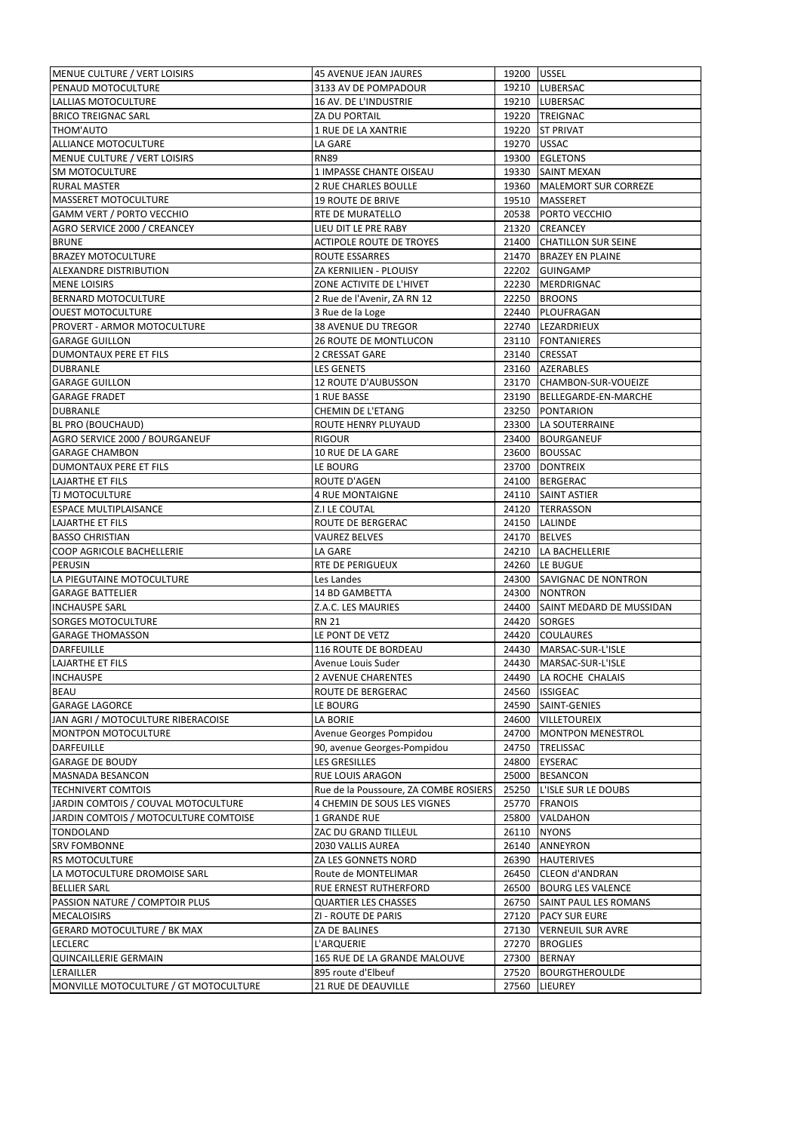| MENUE CULTURE / VERT LOISIRS                       | 45 AVENUE JEAN JAURES                     | 19200 USSEL    |                                  |
|----------------------------------------------------|-------------------------------------------|----------------|----------------------------------|
| PENAUD MOTOCULTURE                                 | 3133 AV DE POMPADOUR                      |                | 19210 LUBERSAC                   |
| LALLIAS MOTOCULTURE                                | 16 AV. DE L'INDUSTRIE                     |                | 19210 LUBERSAC                   |
| <b>BRICO TREIGNAC SARL</b>                         | <b>ZA DU PORTAIL</b>                      |                | 19220 TREIGNAC                   |
| THOM'AUTO                                          | 1 RUE DE LA XANTRIE                       |                | 19220 ST PRIVAT                  |
| ALLIANCE MOTOCULTURE                               | LA GARE                                   | 19270 USSAC    |                                  |
| MENUE CULTURE / VERT LOISIRS                       | <b>RN89</b>                               |                | 19300 EGLETONS                   |
| SM MOTOCULTURE                                     | 1 IMPASSE CHANTE OISEAU                   |                | 19330 SAINT MEXAN                |
| <b>RURAL MASTER</b>                                | 2 RUE CHARLES BOULLE                      |                | 19360   MALEMORT SUR CORREZE     |
| <b>MASSERET MOTOCULTURE</b>                        | <b>19 ROUTE DE BRIVE</b>                  |                | 19510 MASSERET                   |
| <b>GAMM VERT / PORTO VECCHIO</b>                   | <b>RTE DE MURATELLO</b>                   |                | 20538 PORTO VECCHIO              |
| AGRO SERVICE 2000 / CREANCEY                       | LIEU DIT LE PRE RABY                      |                | 21320 CREANCEY                   |
|                                                    |                                           |                |                                  |
| <b>BRUNE</b>                                       | <b>ACTIPOLE ROUTE DE TROYES</b>           |                | 21400 CHATILLON SUR SEINE        |
| <b>BRAZEY MOTOCULTURE</b>                          | ROUTE ESSARRES                            |                | 21470 BRAZEY EN PLAINE           |
| ALEXANDRE DISTRIBUTION                             | ZA KERNILIEN - PLOUISY                    |                | 22202 GUINGAMP                   |
| <b>MENE LOISIRS</b>                                | ZONE ACTIVITE DE L'HIVET                  |                | 22230 MERDRIGNAC                 |
| BERNARD MOTOCULTURE                                | 2 Rue de l'Avenir, ZA RN 12               |                | 22250 BROONS                     |
| <b>OUEST MOTOCULTURE</b>                           | 3 Rue de la Loge                          |                | 22440 PLOUFRAGAN                 |
| PROVERT - ARMOR MOTOCULTURE                        | <b>38 AVENUE DU TREGOR</b>                |                | 22740 LEZARDRIEUX                |
| <b>GARAGE GUILLON</b>                              | <b>26 ROUTE DE MONTLUCON</b>              |                | 23110 FONTANIERES                |
| DUMONTAUX PERE ET FILS                             | 2 CRESSAT GARE                            |                | 23140 CRESSAT                    |
| DUBRANLE                                           | <b>LES GENETS</b>                         |                | 23160 AZERABLES                  |
| <b>GARAGE GUILLON</b>                              | 12 ROUTE D'AUBUSSON                       |                | 23170 CHAMBON-SUR-VOUEIZE        |
| <b>GARAGE FRADET</b>                               | 1 RUE BASSE                               |                | 23190 BELLEGARDE-EN-MARCHE       |
| <b>DUBRANLE</b>                                    | CHEMIN DE L'ETANG                         |                | 23250 PONTARION                  |
| BL PRO (BOUCHAUD)                                  | ROUTE HENRY PLUYAUD                       |                | 23300 LA SOUTERRAINE             |
| AGRO SERVICE 2000 / BOURGANEUF                     | RIGOUR                                    |                | 23400 BOURGANEUF                 |
| <b>GARAGE CHAMBON</b>                              | 10 RUE DE LA GARE                         |                | 23600 BOUSSAC                    |
| DUMONTAUX PERE ET FILS                             | LE BOURG                                  |                | 23700 DONTREIX                   |
|                                                    |                                           |                |                                  |
| LAJARTHE ET FILS                                   | ROUTE D'AGEN                              |                | 24100 BERGERAC                   |
| TJ MOTOCULTURE                                     | <b>4 RUE MONTAIGNE</b>                    |                | 24110 SAINT ASTIER               |
| <b>ESPACE MULTIPLAISANCE</b>                       | Z.I LE COUTAL                             |                | 24120 TERRASSON                  |
| LAJARTHE ET FILS                                   | ROUTE DE BERGERAC                         |                | 24150 LALINDE                    |
| <b>BASSO CHRISTIAN</b>                             | <b>VAUREZ BELVES</b>                      |                | 24170 BELVES                     |
| COOP AGRICOLE BACHELLERIE                          | LA GARE                                   |                | 24210   LA BACHELLERIE           |
|                                                    | <b>RTE DE PERIGUEUX</b>                   |                |                                  |
| PERUSIN                                            |                                           |                | 24260 LE BUGUE                   |
| LA PIEGUTAINE MOTOCULTURE                          | Les Landes                                |                | 24300 SAVIGNAC DE NONTRON        |
| <b>GARAGE BATTELIER</b>                            | 14 BD GAMBETTA                            |                | 24300 NONTRON                    |
| <b>INCHAUSPE SARL</b>                              | Z.A.C. LES MAURIES                        |                | 24400 SAINT MEDARD DE MUSSIDAN   |
| SORGES MOTOCULTURE                                 | <b>RN 21</b>                              |                | 24420 SORGES                     |
| <b>GARAGE THOMASSON</b>                            | LE PONT DE VETZ                           |                | 24420 COULAURES                  |
| <b>DARFEUILLE</b>                                  | 116 ROUTE DE BORDEAU                      |                | 24430   MARSAC-SUR-L'ISLE        |
|                                                    |                                           |                |                                  |
| LAJARTHE ET FILS                                   | Avenue Louis Suder                        |                | 24430   MARSAC-SUR-L'ISLE        |
| <b>INCHAUSPE</b>                                   | 2 AVENUE CHARENTES                        |                | 24490 LA ROCHE CHALAIS           |
| <b>BEAU</b>                                        | ROUTE DE BERGERAC                         |                | 24560 ISSIGEAC                   |
| <b>GARAGE LAGORCE</b>                              | LE BOURG                                  |                | 24590 SAINT-GENIES               |
| JAN AGRI / MOTOCULTURE RIBERACOISE                 | LA BORIE                                  |                | 24600   VILLETOUREIX             |
| MONTPON MOTOCULTURE                                | Avenue Georges Pompidou                   |                | 24700 MONTPON MENESTROL          |
| <b>DARFEUILLE</b>                                  | 90, avenue Georges-Pompidou               | 24750          | <b>TRELISSAC</b>                 |
| <b>GARAGE DE BOUDY</b>                             | LES GRESILLES                             | 24800          | <b>EYSERAC</b>                   |
| MASNADA BESANCON                                   | RUE LOUIS ARAGON                          |                | 25000 BESANCON                   |
| <b>TECHNIVERT COMTOIS</b>                          | Rue de la Poussoure, ZA COMBE ROSIERS     |                | 25250 L'ISLE SUR LE DOUBS        |
| JARDIN COMTOIS / COUVAL MOTOCULTURE                | 4 CHEMIN DE SOUS LES VIGNES               | 25770          | <b>FRANOIS</b>                   |
| JARDIN COMTOIS / MOTOCULTURE COMTOISE              | 1 GRANDE RUE                              |                | 25800 VALDAHON                   |
| TONDOLAND                                          | ZAC DU GRAND TILLEUL                      |                | 26110 NYONS                      |
| <b>SRV FOMBONNE</b>                                | 2030 VALLIS AUREA                         |                | 26140 ANNEYRON                   |
| RS MOTOCULTURE                                     | ZA LES GONNETS NORD                       | 26390          | <b>HAUTERIVES</b>                |
| LA MOTOCULTURE DROMOISE SARL                       | Route de MONTELIMAR                       | 26450          | <b>CLEON d'ANDRAN</b>            |
| <b>BELLIER SARL</b>                                | RUE ERNEST RUTHERFORD                     |                | 26500 BOURG LES VALENCE          |
|                                                    |                                           |                |                                  |
| PASSION NATURE / COMPTOIR PLUS                     | <b>QUARTIER LES CHASSES</b>               |                | 26750 SAINT PAUL LES ROMANS      |
| MECALOISIRS                                        | ZI - ROUTE DE PARIS                       |                | 27120 PACY SUR EURE              |
| <b>GERARD MOTOCULTURE / BK MAX</b>                 | ZA DE BALINES                             |                | 27130 VERNEUIL SUR AVRE          |
| <b>LECLERC</b>                                     | L'ARQUERIE                                | 27270          | <b>BROGLIES</b>                  |
| <b>QUINCAILLERIE GERMAIN</b>                       | 165 RUE DE LA GRANDE MALOUVE              | 27300          | <b>BERNAY</b>                    |
| LERAILLER<br>MONVILLE MOTOCULTURE / GT MOTOCULTURE | 895 route d'Elbeuf<br>21 RUE DE DEAUVILLE | 27520<br>27560 | <b>BOURGTHEROULDE</b><br>LIEUREY |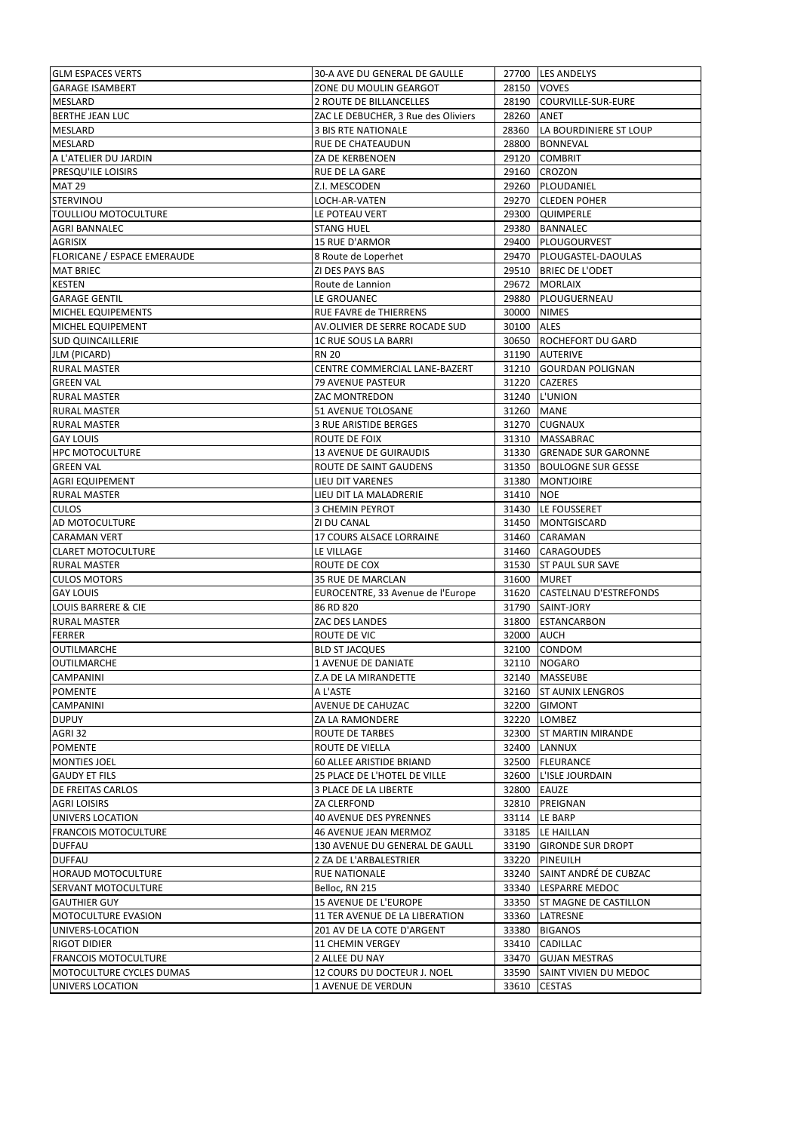| <b>GLM ESPACES VERTS</b>       | 30-A AVE DU GENERAL DE GAULLE       |             | 27700 LES ANDELYS            |
|--------------------------------|-------------------------------------|-------------|------------------------------|
| <b>GARAGE ISAMBERT</b>         | ZONE DU MOULIN GEARGOT              | 28150 VOVES |                              |
| <b>MESLARD</b>                 | 2 ROUTE DE BILLANCELLES             |             | 28190 COURVILLE-SUR-EURE     |
| <b>BERTHE JEAN LUC</b>         | ZAC LE DEBUCHER, 3 Rue des Oliviers | 28260 ANET  |                              |
| MESLARD                        | 3 BIS RTE NATIONALE                 |             | 28360 LA BOURDINIERE ST LOUP |
| MESLARD                        | RUE DE CHATEAUDUN                   |             | 28800 BONNEVAL               |
| A L'ATELIER DU JARDIN          | ZA DE KERBENOEN                     |             | 29120 COMBRIT                |
| PRESQU'ILE LOISIRS             | RUE DE LA GARE                      |             | 29160 CROZON                 |
| <b>MAT 29</b>                  | Z.I. MESCODEN                       |             | 29260 PLOUDANIEL             |
| <b>STERVINOU</b>               | LOCH-AR-VATEN                       |             | 29270 CLEDEN POHER           |
| <b>TOULLIOU MOTOCULTURE</b>    | LE POTEAU VERT                      |             | 29300 QUIMPERLE              |
| <b>AGRI BANNALEC</b>           | <b>STANG HUEL</b>                   |             | 29380 BANNALEC               |
| AGRISIX                        | <b>15 RUE D'ARMOR</b>               |             | 29400 PLOUGOURVEST           |
| FLORICANE / ESPACE EMERAUDE    | 8 Route de Loperhet                 |             | 29470 PLOUGASTEL-DAOULAS     |
| <b>MAT BRIEC</b>               | <b>ZI DES PAYS BAS</b>              |             | 29510 BRIEC DE L'ODET        |
|                                |                                     |             |                              |
| <b>KESTEN</b>                  | Route de Lannion                    |             | 29672 MORLAIX                |
| <b>GARAGE GENTIL</b>           | LE GROUANEC                         |             | 29880 PLOUGUERNEAU           |
| MICHEL EQUIPEMENTS             | RUE FAVRE de THIERRENS              | 30000 NIMES |                              |
| MICHEL EQUIPEMENT              | AV.OLIVIER DE SERRE ROCADE SUD      | 30100 ALES  |                              |
| <b>SUD QUINCAILLERIE</b>       | <b>1C RUE SOUS LA BARRI</b>         |             | 30650 ROCHEFORT DU GARD      |
| JLM (PICARD)                   | <b>RN 20</b>                        |             | 31190 AUTERIVE               |
| <b>RURAL MASTER</b>            | CENTRE COMMERCIAL LANE-BAZERT       |             | 31210 GOURDAN POLIGNAN       |
| <b>GREEN VAL</b>               | <b>79 AVENUE PASTEUR</b>            |             | 31220 CAZERES                |
| <b>RURAL MASTER</b>            | ZAC MONTREDON                       |             | 31240 L'UNION                |
| <b>RURAL MASTER</b>            | 51 AVENUE TOLOSANE                  | 31260 MANE  |                              |
| <b>RURAL MASTER</b>            | 3 RUE ARISTIDE BERGES               |             | 31270 CUGNAUX                |
| <b>GAY LOUIS</b>               | ROUTE DE FOIX                       |             | 31310   MASSABRAC            |
| <b>HPC MOTOCULTURE</b>         | <b>13 AVENUE DE GUIRAUDIS</b>       |             | 31330 GRENADE SUR GARONNE    |
| <b>GREEN VAL</b>               | ROUTE DE SAINT GAUDENS              |             | 31350 BOULOGNE SUR GESSE     |
| <b>AGRI EQUIPEMENT</b>         | LIEU DIT VARENES                    |             | 31380   MONTJOIRE            |
| RURAL MASTER                   | LIEU DIT LA MALADRERIE              | 31410 NOE   |                              |
| <b>CULOS</b>                   | 3 CHEMIN PEYROT                     |             | 31430 LE FOUSSERET           |
| AD MOTOCULTURE                 | <b>ZI DU CANAL</b>                  |             | 31450   MONTGISCARD          |
| <b>CARAMAN VERT</b>            | 17 COURS ALSACE LORRAINE            |             | 31460 CARAMAN                |
| <b>CLARET MOTOCULTURE</b>      | LE VILLAGE                          |             | 31460 CARAGOUDES             |
| <b>RURAL MASTER</b>            | ROUTE DE COX                        |             | 31530 ST PAUL SUR SAVE       |
| <b>CULOS MOTORS</b>            | 35 RUE DE MARCLAN                   |             | 31600 MURET                  |
| <b>GAY LOUIS</b>               | EUROCENTRE, 33 Avenue de l'Europe   |             | 31620 CASTELNAU D'ESTREFONDS |
| <b>LOUIS BARRERE &amp; CIE</b> | 86 RD 820                           |             | 31790 SAINT-JORY             |
| <b>RURAL MASTER</b>            | ZAC DES LANDES                      |             | 31800 ESTANCARBON            |
| <b>FERRER</b>                  | ROUTE DE VIC                        | 32000 AUCH  |                              |
| OUTILMARCHE                    | <b>BLD ST JACQUES</b>               |             | 32100 CONDOM                 |
| <b>OUTILMARCHE</b>             | 1 AVENUE DE DANIATE                 |             | 32110 NOGARO                 |
| <b>CAMPANINI</b>               | Z.A DE LA MIRANDETTE                |             | 32140 MASSEUBE               |
| <b>POMENTE</b>                 | A L'ASTE                            |             | 32160 ST AUNIX LENGROS       |
| <b>CAMPANINI</b>               | AVENUE DE CAHUZAC                   |             | 32200 GIMONT                 |
| <b>DUPUY</b>                   | ZA LA RAMONDERE                     |             | 32220 LOMBEZ                 |
| AGRI 32                        | <b>ROUTE DE TARBES</b>              |             | 32300 ST MARTIN MIRANDE      |
| <b>POMENTE</b>                 | ROUTE DE VIELLA                     |             | 32400 LANNUX                 |
| <b>MONTIES JOEL</b>            | 60 ALLEE ARISTIDE BRIAND            |             | 32500 FLEURANCE              |
| <b>GAUDY ET FILS</b>           | 25 PLACE DE L'HOTEL DE VILLE        |             | 32600 L'ISLE JOURDAIN        |
| DE FREITAS CARLOS              | 3 PLACE DE LA LIBERTE               | 32800 EAUZE |                              |
| <b>AGRI LOISIRS</b>            | ZA CLERFOND                         |             | 32810 PREIGNAN               |
|                                |                                     |             |                              |
| UNIVERS LOCATION               |                                     |             |                              |
| <b>FRANCOIS MOTOCULTURE</b>    | <b>40 AVENUE DES PYRENNES</b>       |             | 33114 LE BARP                |
|                                | 46 AVENUE JEAN MERMOZ               |             | 33185 LE HAILLAN             |
| <b>DUFFAU</b>                  | 130 AVENUE DU GENERAL DE GAULL      |             | 33190 GIRONDE SUR DROPT      |
| <b>DUFFAU</b>                  | 2 ZA DE L'ARBALESTRIER              |             | 33220 PINEUILH               |
| <b>HORAUD MOTOCULTURE</b>      | RUE NATIONALE                       |             | 33240 SAINT ANDRÉ DE CUBZAC  |
| SERVANT MOTOCULTURE            | Belloc, RN 215                      |             | 33340 LESPARRE MEDOC         |
| <b>GAUTHIER GUY</b>            | 15 AVENUE DE L'EUROPE               |             | 33350 ST MAGNE DE CASTILLON  |
| MOTOCULTURE EVASION            | 11 TER AVENUE DE LA LIBERATION      |             | 33360 LATRESNE               |
| UNIVERS-LOCATION               | 201 AV DE LA COTE D'ARGENT          |             | 33380 BIGANOS                |
| RIGOT DIDIER                   | 11 CHEMIN VERGEY                    |             | 33410 CADILLAC               |
| <b>FRANCOIS MOTOCULTURE</b>    | 2 ALLEE DU NAY                      |             | 33470 GUJAN MESTRAS          |
| MOTOCULTURE CYCLES DUMAS       | 12 COURS DU DOCTEUR J. NOEL         | 33590       | SAINT VIVIEN DU MEDOC        |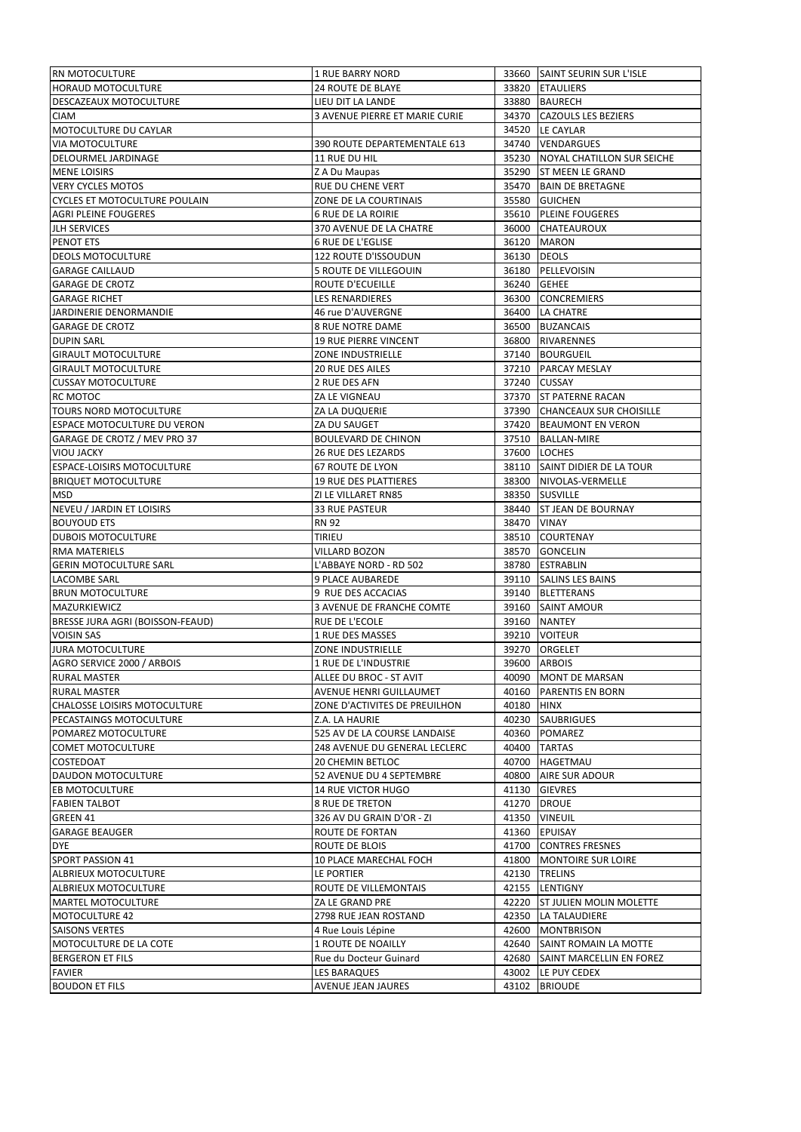| <b>RN MOTOCULTURE</b>                | 1 RUE BARRY NORD               |             | 33660 SAINT SEURIN SUR L'ISLE    |
|--------------------------------------|--------------------------------|-------------|----------------------------------|
| HORAUD MOTOCULTURE                   | <b>24 ROUTE DE BLAYE</b>       |             | 33820 ETAULIERS                  |
| DESCAZEAUX MOTOCULTURE               | LIEU DIT LA LANDE              |             | 33880 BAURECH                    |
| CIAM                                 | 3 AVENUE PIERRE ET MARIE CURIE |             | 34370 CAZOULS LES BEZIERS        |
| MOTOCULTURE DU CAYLAR                |                                |             | 34520 LE CAYLAR                  |
| <b>VIA MOTOCULTURE</b>               | 390 ROUTE DEPARTEMENTALE 613   |             | 34740 VENDARGUES                 |
| DELOURMEL JARDINAGE                  | 11 RUE DU HIL                  |             | 35230 NOYAL CHATILLON SUR SEICHE |
| <b>MENE LOISIRS</b>                  | Z A Du Maupas                  |             | 35290 ST MEEN LE GRAND           |
| <b>VERY CYCLES MOTOS</b>             | RUE DU CHENE VERT              |             | 35470 BAIN DE BRETAGNE           |
| <b>CYCLES ET MOTOCULTURE POULAIN</b> | ZONE DE LA COURTINAIS          |             | 35580 GUICHEN                    |
| <b>AGRI PLEINE FOUGERES</b>          | <b>6 RUE DE LA ROIRIE</b>      |             | 35610 PLEINE FOUGERES            |
| <b>JLH SERVICES</b>                  | 370 AVENUE DE LA CHATRE        |             | 36000 CHATEAUROUX                |
| PENOT ETS                            | <b>6 RUE DE L'EGLISE</b>       |             | 36120 MARON                      |
| <b>DEOLS MOTOCULTURE</b>             | 122 ROUTE D'ISSOUDUN           | 36130 DEOLS |                                  |
| <b>GARAGE CAILLAUD</b>               | 5 ROUTE DE VILLEGOUIN          |             | 36180 PELLEVOISIN                |
|                                      |                                |             |                                  |
| <b>GARAGE DE CROTZ</b>               | ROUTE D'ECUEILLE               | 36240 GEHEE |                                  |
| <b>GARAGE RICHET</b>                 | LES RENARDIERES                |             | 36300 CONCREMIERS                |
| JARDINERIE DENORMANDIE               | 46 rue D'AUVERGNE              |             | 36400 LA CHATRE                  |
| <b>GARAGE DE CROTZ</b>               | 8 RUE NOTRE DAME               |             | 36500 BUZANCAIS                  |
| <b>DUPIN SARL</b>                    | <b>19 RUE PIERRE VINCENT</b>   |             | 36800 RIVARENNES                 |
| <b>GIRAULT MOTOCULTURE</b>           | <b>ZONE INDUSTRIELLE</b>       |             | 37140 BOURGUEIL                  |
| <b>GIRAULT MOTOCULTURE</b>           | 20 RUE DES AILES               |             | 37210 PARCAY MESLAY              |
| <b>CUSSAY MOTOCULTURE</b>            | 2 RUE DES AFN                  |             | 37240 CUSSAY                     |
| RC MOTOC                             | ZA LE VIGNEAU                  |             | 37370 ST PATERNE RACAN           |
| TOURS NORD MOTOCULTURE               | ZA LA DUQUERIE                 |             | 37390 CHANCEAUX SUR CHOISILLE    |
| <b>ESPACE MOTOCULTURE DU VERON</b>   | ZA DU SAUGET                   |             | 37420 BEAUMONT EN VERON          |
| GARAGE DE CROTZ / MEV PRO 37         | <b>BOULEVARD DE CHINON</b>     |             | 37510 BALLAN-MIRE                |
| VIOU JACKY                           | 26 RUE DES LEZARDS             |             | 37600 LOCHES                     |
| ESPACE-LOISIRS MOTOCULTURE           | 67 ROUTE DE LYON               |             | 38110 SAINT DIDIER DE LA TOUR    |
| <b>BRIQUET MOTOCULTURE</b>           | <b>19 RUE DES PLATTIERES</b>   |             | 38300 NIVOLAS-VERMELLE           |
| MSD                                  | ZI LE VILLARET RN85            |             | 38350 SUSVILLE                   |
| NEVEU / JARDIN ET LOISIRS            | 33 RUE PASTEUR                 |             | 38440 ST JEAN DE BOURNAY         |
| <b>BOUYOUD ETS</b>                   | <b>RN 92</b>                   | 38470 VINAY |                                  |
| <b>DUBOIS MOTOCULTURE</b>            | TIRIEU                         |             | 38510 COURTENAY                  |
| RMA MATERIELS                        | VILLARD BOZON                  |             | 38570 GONCELIN                   |
| <b>GERIN MOTOCULTURE SARL</b>        | L'ABBAYE NORD - RD 502         |             | 38780 ESTRABLIN                  |
| LACOMBE SARL                         | 9 PLACE AUBAREDE               |             | 39110 SALINS LES BAINS           |
| <b>BRUN MOTOCULTURE</b>              | 9 RUE DES ACCACIAS             |             | 39140 BLETTERANS                 |
| MAZURKIEWICZ                         | 3 AVENUE DE FRANCHE COMTE      |             | 39160 SAINT AMOUR                |
| BRESSE JURA AGRI (BOISSON-FEAUD)     | <b>RUE DE L'ECOLE</b>          |             | 39160 NANTEY                     |
| <b>VOISIN SAS</b>                    | 1 RUE DES MASSES               |             | 39210 VOITEUR                    |
| <b>JURA MOTOCULTURE</b>              | ZONE INDUSTRIELLE              |             | 39270 ORGELET                    |
| AGRO SERVICE 2000 / ARBOIS           | 1 RUE DE L'INDUSTRIE           |             | 39600 ARBOIS                     |
| <b>RURAL MASTER</b>                  | ALLEE DU BROC - ST AVIT        |             | 40090 MONT DE MARSAN             |
| RURAL MASTER                         | AVENUE HENRI GUILLAUMET        | 40160       | <b>PARENTIS EN BORN</b>          |
| <b>CHALOSSE LOISIRS MOTOCULTURE</b>  | ZONE D'ACTIVITES DE PREUILHON  | 40180 HINX  |                                  |
| PECASTAINGS MOTOCULTURE              | Z.A. LA HAURIE                 |             | 40230 SAUBRIGUES                 |
| POMAREZ MOTOCULTURE                  | 525 AV DE LA COURSE LANDAISE   | 40360       | <b>POMAREZ</b>                   |
| <b>COMET MOTOCULTURE</b>             | 248 AVENUE DU GENERAL LECLERC  | 40400       | <b>TARTAS</b>                    |
| <b>COSTEDOAT</b>                     | 20 CHEMIN BETLOC               | 40700       | HAGETMAU                         |
|                                      | 52 AVENUE DU 4 SEPTEMBRE       | 40800       |                                  |
| DAUDON MOTOCULTURE                   |                                |             | AIRE SUR ADOUR                   |
| <b>EB MOTOCULTURE</b>                | <b>14 RUE VICTOR HUGO</b>      |             | 41130 GIEVRES                    |
| <b>FABIEN TALBOT</b>                 | 8 RUE DE TRETON                |             | 41270 DROUE                      |
| GREEN 41                             | 326 AV DU GRAIN D'OR - ZI      |             | 41350 VINEUIL                    |
| <b>GARAGE BEAUGER</b>                | ROUTE DE FORTAN                |             | 41360 EPUISAY                    |
| DYE                                  | ROUTE DE BLOIS                 |             | 41700 CONTRES FRESNES            |
| <b>SPORT PASSION 41</b>              | 10 PLACE MARECHAL FOCH         |             | 41800 MONTOIRE SUR LOIRE         |
| ALBRIEUX MOTOCULTURE                 | LE PORTIER                     |             | 42130 TRELINS                    |
| ALBRIEUX MOTOCULTURE                 | ROUTE DE VILLEMONTAIS          |             | 42155 LENTIGNY                   |
| MARTEL MOTOCULTURE                   | ZA LE GRAND PRE                |             | 42220 ST JULIEN MOLIN MOLETTE    |
| <b>MOTOCULTURE 42</b>                | 2798 RUE JEAN ROSTAND          |             | 42350 LA TALAUDIERE              |
| <b>SAISONS VERTES</b>                | 4 Rue Louis Lépine             |             | 42600 MONTBRISON                 |
| MOTOCULTURE DE LA COTE               | 1 ROUTE DE NOAILLY             |             | 42640 SAINT ROMAIN LA MOTTE      |
| <b>BERGERON ET FILS</b>              | Rue du Docteur Guinard         | 42680       | SAINT MARCELLIN EN FOREZ         |
| <b>FAVIER</b>                        | LES BARAQUES                   | 43002       | LE PUY CEDEX                     |
| <b>BOUDON ET FILS</b>                | AVENUE JEAN JAURES             | 43102       | <b>BRIOUDE</b>                   |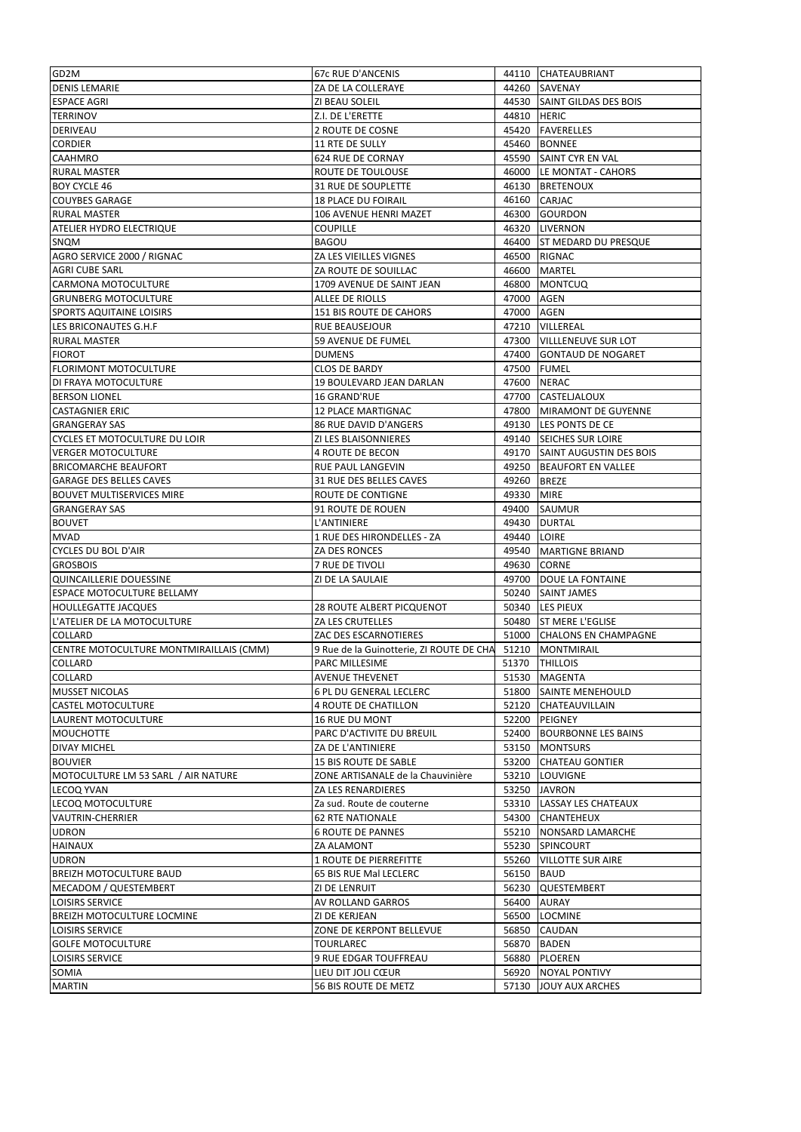| GD2M                                                | 67c RUE D'ANCENIS                        |             | 44110 CHATEAUBRIANT           |
|-----------------------------------------------------|------------------------------------------|-------------|-------------------------------|
| <b>DENIS LEMARIE</b>                                | ZA DE LA COLLERAYE                       |             | 44260 SAVENAY                 |
| <b>ESPACE AGRI</b>                                  | ZI BEAU SOLEIL                           |             | 44530 SAINT GILDAS DES BOIS   |
| <b>TERRINOV</b>                                     | Z.I. DE L'ERETTE                         | 44810 HERIC |                               |
| DERIVEAU                                            | 2 ROUTE DE COSNE                         |             | 45420 FAVERELLES              |
| <b>CORDIER</b>                                      | 11 RTE DE SULLY                          |             | 45460 BONNEE                  |
| <b>CAAHMRO</b>                                      | 624 RUE DE CORNAY                        |             | 45590 SAINT CYR EN VAL        |
| <b>RURAL MASTER</b>                                 | ROUTE DE TOULOUSE                        |             | 46000 LE MONTAT - CAHORS      |
| <b>BOY CYCLE 46</b>                                 | 31 RUE DE SOUPLETTE                      |             | 46130 BRETENOUX               |
| <b>COUYBES GARAGE</b>                               | <b>18 PLACE DU FOIRAIL</b>               |             | 46160 CARJAC                  |
| <b>RURAL MASTER</b>                                 | 106 AVENUE HENRI MAZET                   |             | 46300 GOURDON                 |
| ATELIER HYDRO ELECTRIQUE                            | <b>COUPILLE</b>                          |             | 46320 LIVERNON                |
| SNQM                                                | <b>BAGOU</b>                             |             | 46400 ST MEDARD DU PRESQUE    |
|                                                     | ZA LES VIEILLES VIGNES                   |             | 46500 RIGNAC                  |
| AGRO SERVICE 2000 / RIGNAC<br><b>AGRI CUBE SARL</b> | ZA ROUTE DE SOUILLAC                     | 46600       | <b>MARTEL</b>                 |
|                                                     | 1709 AVENUE DE SAINT JEAN                | 46800       |                               |
| CARMONA MOTOCULTURE                                 |                                          |             | <b>MONTCUQ</b>                |
| <b>GRUNBERG MOTOCULTURE</b>                         | ALLEE DE RIOLLS                          | 47000 AGEN  |                               |
| SPORTS AQUITAINE LOISIRS                            | <b>151 BIS ROUTE DE CAHORS</b>           | 47000 AGEN  |                               |
| LES BRICONAUTES G.H.F                               | <b>RUE BEAUSEJOUR</b>                    |             | 47210 VILLEREAL               |
| RURAL MASTER                                        | 59 AVENUE DE FUMEL                       |             | 47300 VILLLENEUVE SUR LOT     |
| <b>FIOROT</b>                                       | <b>DUMENS</b>                            |             | 47400 GONTAUD DE NOGARET      |
| <b>FLORIMONT MOTOCULTURE</b>                        | <b>CLOS DE BARDY</b>                     |             | 47500 FUMEL                   |
| DI FRAYA MOTOCULTURE                                | 19 BOULEVARD JEAN DARLAN                 | 47600       | <b>NERAC</b>                  |
| <b>BERSON LIONEL</b>                                | 16 GRAND'RUE                             |             | 47700 CASTELJALOUX            |
| <b>CASTAGNIER ERIC</b>                              | <b>12 PLACE MARTIGNAC</b>                |             | 47800 MIRAMONT DE GUYENNE     |
| <b>GRANGERAY SAS</b>                                | 86 RUE DAVID D'ANGERS                    |             | 49130 LES PONTS DE CE         |
| CYCLES ET MOTOCULTURE DU LOIR                       | ZI LES BLAISONNIERES                     |             | 49140 SEICHES SUR LOIRE       |
| <b>VERGER MOTOCULTURE</b>                           | 4 ROUTE DE BECON                         |             | 49170 SAINT AUGUSTIN DES BOIS |
| <b>BRICOMARCHE BEAUFORT</b>                         | RUE PAUL LANGEVIN                        |             | 49250 BEAUFORT EN VALLEE      |
| <b>GARAGE DES BELLES CAVES</b>                      | 31 RUE DES BELLES CAVES                  | 49260       | <b>BREZE</b>                  |
| <b>BOUVET MULTISERVICES MIRE</b>                    | ROUTE DE CONTIGNE                        | 49330       | <b>MIRE</b>                   |
| <b>GRANGERAY SAS</b>                                | 91 ROUTE DE ROUEN                        | 49400       | <b>SAUMUR</b>                 |
| <b>BOUVET</b>                                       | L'ANTINIERE                              |             | 49430 DURTAL                  |
|                                                     |                                          |             |                               |
| <b>MVAD</b>                                         | 1 RUE DES HIRONDELLES - ZA               | 49440 LOIRE |                               |
| <b>CYCLES DU BOL D'AIR</b>                          | ZA DES RONCES                            |             | 49540   MARTIGNE BRIAND       |
| <b>GROSBOIS</b>                                     | 7 RUE DE TIVOLI                          |             | 49630 CORNE                   |
| QUINCAILLERIE DOUESSINE                             | ZI DE LA SAULAIE                         |             | 49700   DOUE LA FONTAINE      |
| <b>ESPACE MOTOCULTURE BELLAMY</b>                   |                                          |             | 50240 SAINT JAMES             |
| <b>HOULLEGATTE JACQUES</b>                          | <b>28 ROUTE ALBERT PICQUENOT</b>         |             | 50340 LES PIEUX               |
| L'ATELIER DE LA MOTOCULTURE                         | ZA LES CRUTELLES                         |             | 50480 ST MERE L'EGLISE        |
| COLLARD                                             | ZAC DES ESCARNOTIERES                    |             | 51000 CHALONS EN CHAMPAGNE    |
| CENTRE MOTOCULTURE MONTMIRAILLAIS (CMM)             | 9 Rue de la Guinotterie, ZI ROUTE DE CHA |             | 51210   MONTMIRAIL            |
| <b>COLLARD</b>                                      | <b>PARC MILLESIME</b>                    |             | 51370   THILLOIS              |
| COLLARD                                             | <b>AVENUE THEVENET</b>                   |             | 51530 MAGENTA                 |
| <b>MUSSET NICOLAS</b>                               | 6 PL DU GENERAL LECLERC                  |             | 51800 SAINTE MENEHOULD        |
| <b>CASTEL MOTOCULTURE</b>                           | 4 ROUTE DE CHATILLON                     |             | 52120 CHATEAUVILLAIN          |
| LAURENT MOTOCULTURE                                 | 16 RUE DU MONT                           |             | 52200 PEIGNEY                 |
| <b>MOUCHOTTE</b>                                    | PARC D'ACTIVITE DU BREUIL                |             | 52400 BOURBONNE LES BAINS     |
| DIVAY MICHEL                                        | ZA DE L'ANTINIERE                        |             | 53150 MONTSURS                |
| <b>BOUVIER</b>                                      | <b>15 BIS ROUTE DE SABLE</b>             | 53200       | <b>CHATEAU GONTIER</b>        |
| MOTOCULTURE LM 53 SARL / AIR NATURE                 | ZONE ARTISANALE de la Chauvinière        |             | 53210 LOUVIGNE                |
| LECOQ YVAN                                          | ZA LES RENARDIERES                       |             | 53250 JAVRON                  |
| LECOQ MOTOCULTURE                                   | Za sud. Route de couterne                |             | 53310 LASSAY LES CHATEAUX     |
|                                                     |                                          |             |                               |
| VAUTRIN-CHERRIER                                    | <b>62 RTE NATIONALE</b>                  |             | 54300 CHANTEHEUX              |
| <b>UDRON</b>                                        | <b>6 ROUTE DE PANNES</b>                 |             | 55210 NONSARD LAMARCHE        |
| HAINAUX                                             | ZA ALAMONT                               |             | 55230 SPINCOURT               |
| <b>UDRON</b>                                        | <b>1 ROUTE DE PIERREFITTE</b>            |             | 55260 VILLOTTE SUR AIRE       |
| BREIZH MOTOCULTURE BAUD                             | 65 BIS RUE Mal LECLERC                   | 56150 BAUD  |                               |
| MECADOM / QUESTEMBERT                               | ZI DE LENRUIT                            | 56230       | QUESTEMBERT                   |
| <b>LOISIRS SERVICE</b>                              | AV ROLLAND GARROS                        |             | 56400 AURAY                   |
| BREIZH MOTOCULTURE LOCMINE                          | ZI DE KERJEAN                            | 56500       | <b>LOCMINE</b>                |
| LOISIRS SERVICE                                     | ZONE DE KERPONT BELLEVUE                 |             | 56850 CAUDAN                  |
| <b>GOLFE MOTOCULTURE</b>                            | TOURLAREC                                |             | 56870 BADEN                   |
| LOISIRS SERVICE                                     | 9 RUE EDGAR TOUFFREAU                    | 56880       | <b>PLOEREN</b>                |
| SOMIA                                               | lieu dit joli cœur                       | 56920       | <b>NOYAL PONTIVY</b>          |
| <b>MARTIN</b>                                       | 56 BIS ROUTE DE METZ                     |             | 57130 JOUY AUX ARCHES         |
|                                                     |                                          |             |                               |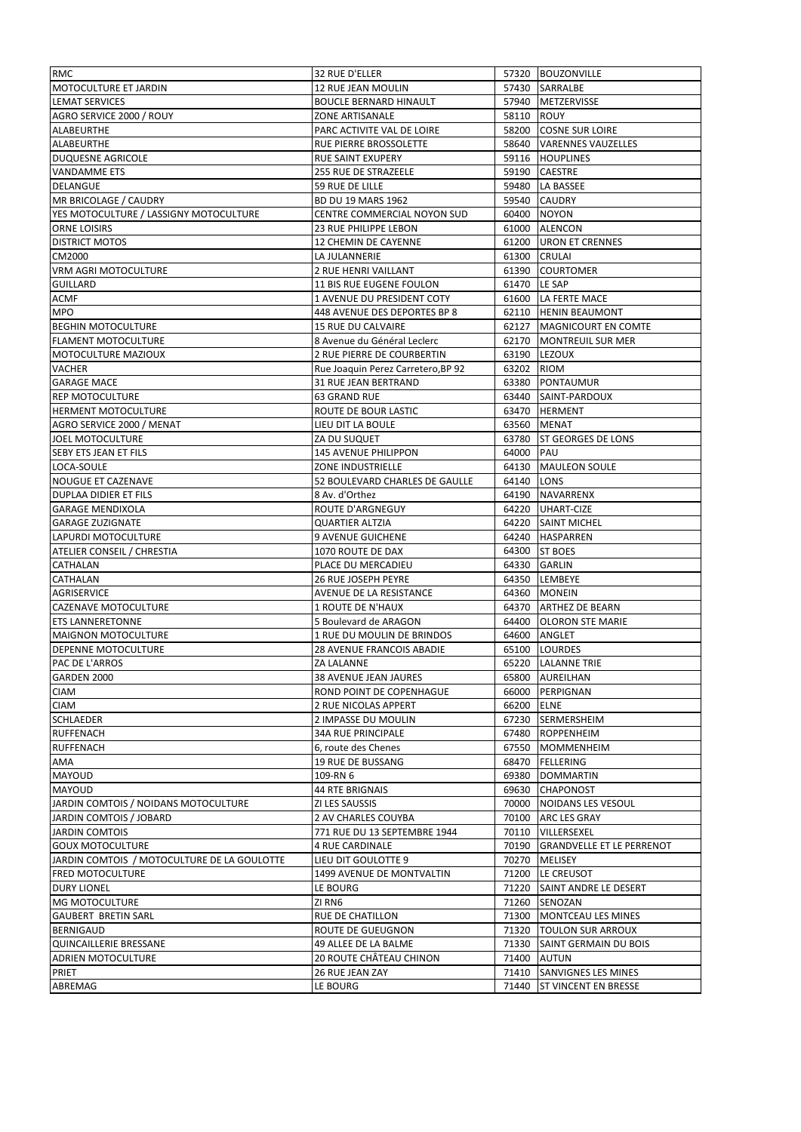| RMC                                         | 32 RUE D'ELLER                     |              | 57320 BOUZONVILLE               |
|---------------------------------------------|------------------------------------|--------------|---------------------------------|
| MOTOCULTURE ET JARDIN                       | 12 RUE JEAN MOULIN                 |              | 57430 SARRALBE                  |
| <b>LEMAT SERVICES</b>                       | <b>BOUCLE BERNARD HINAULT</b>      |              | 57940 METZERVISSE               |
| AGRO SERVICE 2000 / ROUY                    | <b>ZONE ARTISANALE</b>             | 58110 ROUY   |                                 |
| ALABEURTHE                                  | PARC ACTIVITE VAL DE LOIRE         |              | 58200 COSNE SUR LOIRE           |
| ALABEURTHE                                  | RUE PIERRE BROSSOLETTE             |              | 58640 VARENNES VAUZELLES        |
| DUQUESNE AGRICOLE                           | <b>RUE SAINT EXUPERY</b>           | 59116        | <b>HOUPLINES</b>                |
| VANDAMME ETS                                | 255 RUE DE STRAZEELE               | 59190        | <b>CAESTRE</b>                  |
| DELANGUE                                    | 59 RUE DE LILLE                    | 59480        | <b>LA BASSEE</b>                |
| MR BRICOLAGE / CAUDRY                       | <b>BD DU 19 MARS 1962</b>          |              | 59540 CAUDRY                    |
| YES MOTOCULTURE / LASSIGNY MOTOCULTURE      | CENTRE COMMERCIAL NOYON SUD        | 60400        | <b>NOYON</b>                    |
| ORNE LOISIRS                                | 23 RUE PHILIPPE LEBON              |              | 61000 ALENCON                   |
| <b>DISTRICT MOTOS</b>                       | 12 CHEMIN DE CAYENNE               |              | 61200 URON ET CRENNES           |
|                                             |                                    |              | 61300 CRULAI                    |
| CM2000                                      | LA JULANNERIE                      |              | <b>COURTOMER</b>                |
| <b>VRM AGRI MOTOCULTURE</b>                 | 2 RUE HENRI VAILLANT               | 61390        |                                 |
| <b>GUILLARD</b>                             | 11 BIS RUE EUGENE FOULON           | 61470 LE SAP |                                 |
| <b>ACMF</b>                                 | 1 AVENUE DU PRESIDENT COTY         |              | 61600   LA FERTE MACE           |
| <b>MPO</b>                                  | 448 AVENUE DES DEPORTES BP 8       |              | 62110 HENIN BEAUMONT            |
| <b>BEGHIN MOTOCULTURE</b>                   | <b>15 RUE DU CALVAIRE</b>          |              | 62127   MAGNICOURT EN COMTE     |
| <b>FLAMENT MOTOCULTURE</b>                  | 8 Avenue du Général Leclerc        |              | 62170   MONTREUIL SUR MER       |
| MOTOCULTURE MAZIOUX                         | 2 RUE PIERRE DE COURBERTIN         |              | 63190 LEZOUX                    |
| VACHER                                      | Rue Joaquin Perez Carretero, BP 92 | 63202        | <b>RIOM</b>                     |
| <b>GARAGE MACE</b>                          | 31 RUE JEAN BERTRAND               | 63380        | PONTAUMUR                       |
| <b>REP MOTOCULTURE</b>                      | 63 GRAND RUE                       |              | 63440 SAINT-PARDOUX             |
| <b>HERMENT MOTOCULTURE</b>                  | ROUTE DE BOUR LASTIC               |              | 63470 HERMENT                   |
| AGRO SERVICE 2000 / MENAT                   | LIEU DIT LA BOULE                  |              | 63560 MENAT                     |
| JOEL MOTOCULTURE                            | ZA DU SUQUET                       | 63780        | <b>ST GEORGES DE LONS</b>       |
| SEBY ETS JEAN ET FILS                       | <b>145 AVENUE PHILIPPON</b>        | 64000 PAU    |                                 |
| LOCA-SOULE                                  | ZONE INDUSTRIELLE                  |              | 64130 MAULEON SOULE             |
| NOUGUE ET CAZENAVE                          | 52 BOULEVARD CHARLES DE GAULLE     | 64140 LONS   |                                 |
| DUPLAA DIDIER ET FILS                       | 8 Av. d'Orthez                     |              | 64190 NAVARRENX                 |
| <b>GARAGE MENDIXOLA</b>                     | ROUTE D'ARGNEGUY                   |              | 64220 UHART-CIZE                |
| <b>GARAGE ZUZIGNATE</b>                     | <b>QUARTIER ALTZIA</b>             |              | 64220 SAINT MICHEL              |
| LAPURDI MOTOCULTURE                         | <b>9 AVENUE GUICHENE</b>           |              | 64240 HASPARREN                 |
| ATELIER CONSEIL / CHRESTIA                  | 1070 ROUTE DE DAX                  |              | 64300 ST BOES                   |
| CATHALAN                                    | PLACE DU MERCADIEU                 |              | 64330 GARLIN                    |
| CATHALAN                                    | <b>26 RUE JOSEPH PEYRE</b>         |              | 64350 LEMBEYE                   |
| AGRISERVICE                                 | AVENUE DE LA RESISTANCE            |              | 64360 MONEIN                    |
| CAZENAVE MOTOCULTURE                        | 1 ROUTE DE N'HAUX                  |              | 64370 ARTHEZ DE BEARN           |
| <b>ETS LANNERETONNE</b>                     | 5 Boulevard de ARAGON              |              | 64400 OLORON STE MARIE          |
| <b>MAIGNON MOTOCULTURE</b>                  | 1 RUE DU MOULIN DE BRINDOS         |              | 64600 ANGLET                    |
| DEPENNE MOTOCULTURE                         | <b>28 AVENUE FRANCOIS ABADIE</b>   |              | 65100 LOURDES                   |
| PAC DE L'ARROS                              | <b>ZA LALANNE</b>                  |              | 65220 LALANNE TRIE              |
| GARDEN 2000                                 | 38 AVENUE JEAN JAURES              |              | 65800 AUREILHAN                 |
|                                             |                                    |              |                                 |
| <b>CIAM</b>                                 | ROND POINT DE COPENHAGUE           | 66000        | PERPIGNAN                       |
| <b>CIAM</b>                                 | 2 RUE NICOLAS APPERT               | 66200 ELNE   |                                 |
| <b>SCHLAEDER</b>                            | 2 IMPASSE DU MOULIN                |              | 67230 SERMERSHEIM               |
| <b>RUFFENACH</b>                            | <b>34A RUE PRINCIPALE</b>          | 67480        | <b>ROPPENHEIM</b>               |
| <b>RUFFENACH</b>                            | 6, route des Chenes                | 67550        | <b>MOMMENHEIM</b>               |
| AMA                                         | 19 RUE DE BUSSANG                  | 68470        | FELLERING                       |
| MAYOUD                                      | 109-RN 6                           |              | 69380 DOMMARTIN                 |
| MAYOUD                                      | 44 RTE BRIGNAIS                    |              | 69630 CHAPONOST                 |
| JARDIN COMTOIS / NOIDANS MOTOCULTURE        | ZI LES SAUSSIS                     | 70000        | NOIDANS LES VESOUL              |
| JARDIN COMTOIS / JOBARD                     | 2 AV CHARLES COUYBA                |              | 70100 ARC LES GRAY              |
| <b>JARDIN COMTOIS</b>                       | 771 RUE DU 13 SEPTEMBRE 1944       |              | 70110   VILLERSEXEL             |
| <b>GOUX MOTOCULTURE</b>                     | 4 RUE CARDINALE                    |              | 70190 GRANDVELLE ET LE PERRENOT |
| JARDIN COMTOIS / MOTOCULTURE DE LA GOULOTTE | LIEU DIT GOULOTTE 9                | 70270        | <b>MELISEY</b>                  |
| <b>FRED MOTOCULTURE</b>                     | 1499 AVENUE DE MONTVALTIN          | 71200        | LE CREUSOT                      |
| <b>DURY LIONEL</b>                          | LE BOURG                           | 71220        | SAINT ANDRE LE DESERT           |
| <b>MG MOTOCULTURE</b>                       | ZI RN6                             |              | 71260 SENOZAN                   |
| <b>GAUBERT BRETIN SARL</b>                  | RUE DE CHATILLON                   | 71300        | MONTCEAU LES MINES              |
| <b>BERNIGAUD</b>                            | ROUTE DE GUEUGNON                  |              | 71320   TOULON SUR ARROUX       |
| QUINCAILLERIE BRESSANE                      | 49 ALLEE DE LA BALME               |              | 71330 SAINT GERMAIN DU BOIS     |
| ADRIEN MOTOCULTURE                          | 20 ROUTE CHÂTEAU CHINON            |              | 71400 AUTUN                     |
| PRIET                                       | 26 RUE JEAN ZAY                    |              | 71410 SANVIGNES LES MINES       |
|                                             | LE BOURG                           | 71440        | <b>ST VINCENT EN BRESSE</b>     |
| ABREMAG                                     |                                    |              |                                 |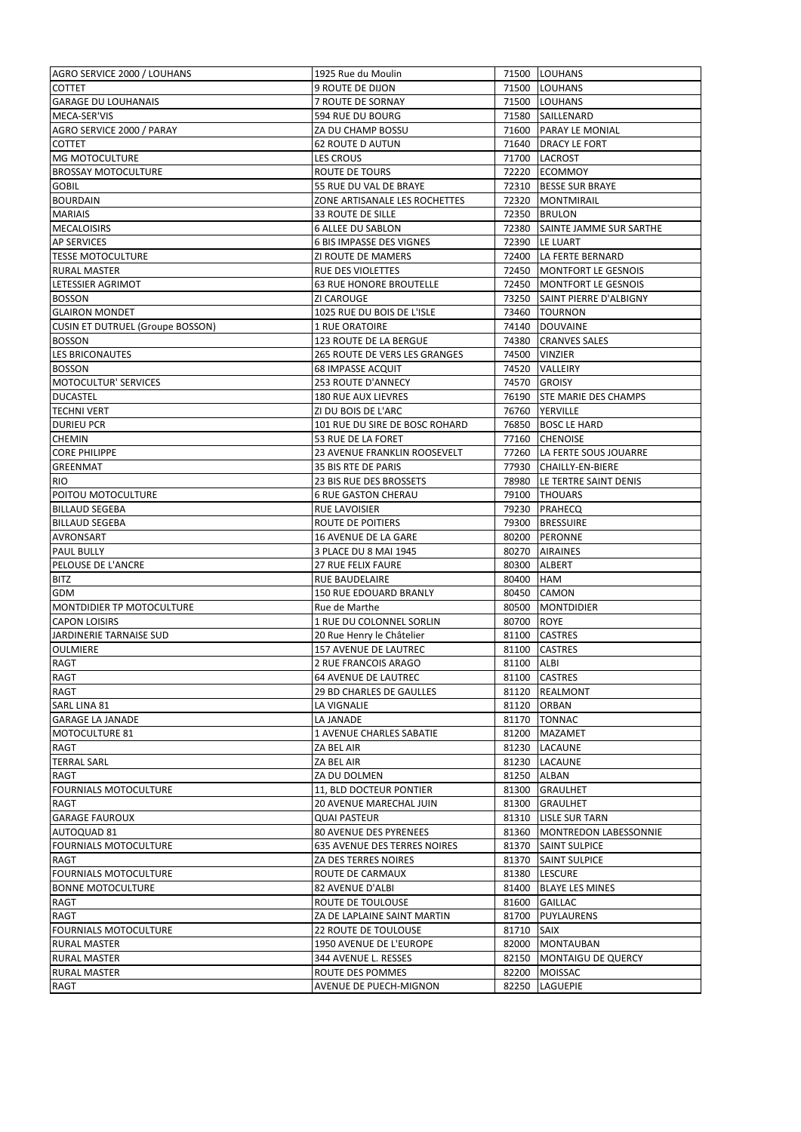| AGRO SERVICE 2000 / LOUHANS              | 1925 Rue du Moulin              |             | 71500 LOUHANS                 |
|------------------------------------------|---------------------------------|-------------|-------------------------------|
| <b>COTTET</b>                            | <b>9 ROUTE DE DIJON</b>         |             | 71500 LOUHANS                 |
| <b>GARAGE DU LOUHANAIS</b>               | 7 ROUTE DE SORNAY               |             | 71500 LOUHANS                 |
| MECA-SER'VIS                             | 594 RUE DU BOURG                |             | 71580 SAILLENARD              |
| AGRO SERVICE 2000 / PARAY                | ZA DU CHAMP BOSSU               |             | 71600 PARAY LE MONIAL         |
| <b>COTTET</b>                            | <b>62 ROUTE D AUTUN</b>         |             | 71640   DRACY LE FORT         |
| MG MOTOCULTURE                           | <b>LES CROUS</b>                |             | 71700 LACROST                 |
| <b>BROSSAY MOTOCULTURE</b>               | ROUTE DE TOURS                  |             | 72220 ECOMMOY                 |
| <b>GOBIL</b>                             | 55 RUE DU VAL DE BRAYE          |             | 72310 BESSE SUR BRAYE         |
| <b>BOURDAIN</b>                          | ZONE ARTISANALE LES ROCHETTES   |             | 72320   MONTMIRAIL            |
| <b>MARIAIS</b>                           | <b>33 ROUTE DE SILLE</b>        |             | 72350 BRULON                  |
|                                          | 6 ALLEE DU SABLON               |             | 72380 SAINTE JAMME SUR SARTHE |
| <b>MECALOISIRS</b><br><b>AP SERVICES</b> | <b>6 BIS IMPASSE DES VIGNES</b> |             | 72390 LE LUART                |
| <b>TESSE MOTOCULTURE</b>                 | ZI ROUTE DE MAMERS              |             |                               |
|                                          |                                 |             | 72400 LA FERTE BERNARD        |
| <b>RURAL MASTER</b>                      | RUE DES VIOLETTES               |             | 72450 MONTFORT LE GESNOIS     |
| LETESSIER AGRIMOT                        | <b>63 RUE HONORE BROUTELLE</b>  |             | 72450 MONTFORT LE GESNOIS     |
| <b>BOSSON</b>                            | ZI CAROUGE                      |             | 73250 SAINT PIERRE D'ALBIGNY  |
| <b>GLAIRON MONDET</b>                    | 1025 RUE DU BOIS DE L'ISLE      |             | 73460 TOURNON                 |
| <b>CUSIN ET DUTRUEL (Groupe BOSSON)</b>  | <b>1 RUE ORATOIRE</b>           |             | 74140 DOUVAINE                |
| <b>BOSSON</b>                            | <b>123 ROUTE DE LA BERGUE</b>   |             | 74380 CRANVES SALES           |
| LES BRICONAUTES                          | 265 ROUTE DE VERS LES GRANGES   | 74500       | <b>VINZIER</b>                |
| <b>BOSSON</b>                            | <b>68 IMPASSE ACQUIT</b>        |             | 74520 VALLEIRY                |
| <b>MOTOCULTUR' SERVICES</b>              | 253 ROUTE D'ANNECY              | 74570       | <b>GROISY</b>                 |
| <b>DUCASTEL</b>                          | 180 RUE AUX LIEVRES             |             | 76190 STE MARIE DES CHAMPS    |
| <b>TECHNI VERT</b>                       | ZI DU BOIS DE L'ARC             |             | 76760 YERVILLE                |
| <b>DURIEU PCR</b>                        | 101 RUE DU SIRE DE BOSC ROHARD  |             | 76850 BOSC LE HARD            |
| <b>CHEMIN</b>                            | 53 RUE DE LA FORET              |             | 77160 CHENOISE                |
| <b>CORE PHILIPPE</b>                     | 23 AVENUE FRANKLIN ROOSEVELT    |             | 77260 LA FERTE SOUS JOUARRE   |
| <b>GREENMAT</b>                          | 35 BIS RTE DE PARIS             |             | 77930 CHAILLY-EN-BIERE        |
| <b>RIO</b>                               | 23 BIS RUE DES BROSSETS         |             | 78980 LE TERTRE SAINT DENIS   |
| POITOU MOTOCULTURE                       | <b>6 RUE GASTON CHERAU</b>      |             | 79100 THOUARS                 |
| <b>BILLAUD SEGEBA</b>                    | RUE LAVOISIER                   |             | 79230 PRAHECQ                 |
| <b>BILLAUD SEGEBA</b>                    | ROUTE DE POITIERS               |             | 79300 BRESSUIRE               |
| <b>AVRONSART</b>                         | 16 AVENUE DE LA GARE            |             | 80200 PERONNE                 |
|                                          |                                 |             |                               |
| <b>PAUL BULLY</b>                        | 3 PLACE DU 8 MAI 1945           |             | 80270 AIRAINES                |
| PELOUSE DE L'ANCRE                       | 27 RUE FELIX FAURE              | 80300       | <b>ALBERT</b>                 |
| <b>BITZ</b>                              | RUE BAUDELAIRE                  | 80400 HAM   |                               |
| GDM                                      | 150 RUE EDOUARD BRANLY          | 80450       | <b>CAMON</b>                  |
| <b>MONTDIDIER TP MOTOCULTURE</b>         | Rue de Marthe                   | 80500       | <b>MONTDIDIER</b>             |
| <b>CAPON LOISIRS</b>                     | 1 RUE DU COLONNEL SORLIN        | 80700 ROYE  |                               |
| JARDINERIE TARNAISE SUD                  | 20 Rue Henry le Châtelier       |             | 81100 CASTRES                 |
| <b>OULMIERE</b>                          | 157 AVENUE DE LAUTREC           |             | 81100 CASTRES                 |
| <b>RAGT</b>                              | 2 RUE FRANCOIS ARAGO            | 81100 ALBI  |                               |
| RAGT                                     | <b>64 AVENUE DE LAUTREC</b>     |             | 81100 CASTRES                 |
| RAGT                                     | <b>29 BD CHARLES DE GAULLES</b> |             | 81120 REALMONT                |
| SARL LINA 81                             | LA VIGNALIE                     | 81120       | <b>ORBAN</b>                  |
| <b>GARAGE LA JANADE</b>                  | LA JANADE                       |             | 81170 TONNAC                  |
| MOTOCULTURE 81                           | 1 AVENUE CHARLES SABATIE        | 81200       | <b>MAZAMET</b>                |
| RAGT                                     | ZA BEL AIR                      | 81230       | LACAUNE                       |
| <b>TERRAL SARL</b>                       | ZA BEL AIR                      | 81230       | LACAUNE                       |
| RAGT                                     | ZA DU DOLMEN                    | 81250 ALBAN |                               |
| <b>FOURNIALS MOTOCULTURE</b>             | 11, BLD DOCTEUR PONTIER         |             | 81300 GRAULHET                |
| RAGT                                     | 20 AVENUE MARECHAL JUIN         |             | 81300 GRAULHET                |
| <b>GARAGE FAUROUX</b>                    | <b>QUAI PASTEUR</b>             |             | 81310 LISLE SUR TARN          |
| AUTOQUAD 81                              | 80 AVENUE DES PYRENEES          |             | 81360 MONTREDON LABESSONNIE   |
| <b>FOURNIALS MOTOCULTURE</b>             | 635 AVENUE DES TERRES NOIRES    |             | 81370 SAINT SULPICE           |
| RAGT                                     | ZA DES TERRES NOIRES            | 81370       | <b>SAINT SULPICE</b>          |
| <b>FOURNIALS MOTOCULTURE</b>             | ROUTE DE CARMAUX                | 81380       | <b>LESCURE</b>                |
| <b>BONNE MOTOCULTURE</b>                 | 82 AVENUE D'ALBI                | 81400       | <b>BLAYE LES MINES</b>        |
| RAGT                                     | ROUTE DE TOULOUSE               |             | 81600 GAILLAC                 |
|                                          | ZA DE LAPLAINE SAINT MARTIN     | 81700       | <b>PUYLAURENS</b>             |
| RAGT                                     |                                 |             |                               |
| <b>FOURNIALS MOTOCULTURE</b>             | 22 ROUTE DE TOULOUSE            | 81710 SAIX  |                               |
| <b>RURAL MASTER</b>                      | 1950 AVENUE DE L'EUROPE         |             | 82000 MONTAUBAN               |
| <b>RURAL MASTER</b>                      | 344 AVENUE L. RESSES            |             | 82150 MONTAIGU DE QUERCY      |
| <b>RURAL MASTER</b>                      | ROUTE DES POMMES                | 82200       | <b>MOISSAC</b>                |
| RAGT                                     | AVENUE DE PUECH-MIGNON          |             | 82250 LAGUEPIE                |